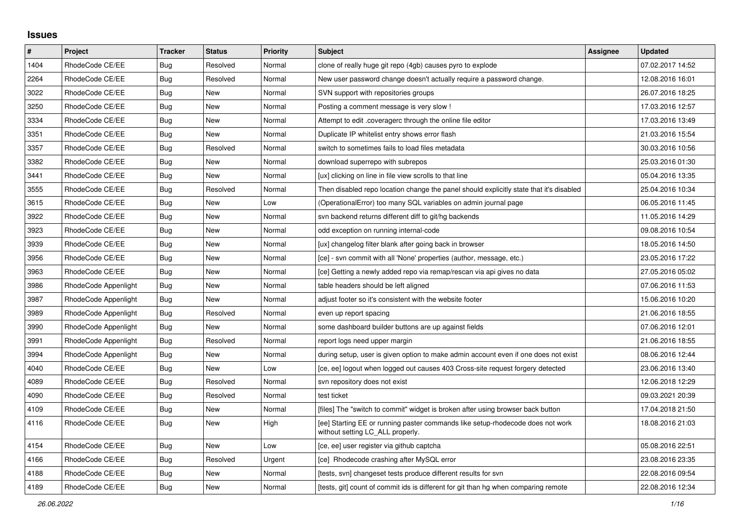## **Issues**

| $\pmb{\#}$ | Project              | <b>Tracker</b> | <b>Status</b> | <b>Priority</b> | <b>Subject</b>                                                                                                     | Assignee | <b>Updated</b>   |
|------------|----------------------|----------------|---------------|-----------------|--------------------------------------------------------------------------------------------------------------------|----------|------------------|
| 1404       | RhodeCode CE/EE      | Bug            | Resolved      | Normal          | clone of really huge git repo (4gb) causes pyro to explode                                                         |          | 07.02.2017 14:52 |
| 2264       | RhodeCode CE/EE      | <b>Bug</b>     | Resolved      | Normal          | New user password change doesn't actually require a password change.                                               |          | 12.08.2016 16:01 |
| 3022       | RhodeCode CE/EE      | Bug            | New           | Normal          | SVN support with repositories groups                                                                               |          | 26.07.2016 18:25 |
| 3250       | RhodeCode CE/EE      | <b>Bug</b>     | New           | Normal          | Posting a comment message is very slow !                                                                           |          | 17.03.2016 12:57 |
| 3334       | RhodeCode CE/EE      | Bug            | New           | Normal          | Attempt to edit .coveragerc through the online file editor                                                         |          | 17.03.2016 13:49 |
| 3351       | RhodeCode CE/EE      | Bug            | <b>New</b>    | Normal          | Duplicate IP whitelist entry shows error flash                                                                     |          | 21.03.2016 15:54 |
| 3357       | RhodeCode CE/EE      | Bug            | Resolved      | Normal          | switch to sometimes fails to load files metadata                                                                   |          | 30.03.2016 10:56 |
| 3382       | RhodeCode CE/EE      | Bug            | New           | Normal          | download superrepo with subrepos                                                                                   |          | 25.03.2016 01:30 |
| 3441       | RhodeCode CE/EE      | Bug            | <b>New</b>    | Normal          | [ux] clicking on line in file view scrolls to that line                                                            |          | 05.04.2016 13:35 |
| 3555       | RhodeCode CE/EE      | Bug            | Resolved      | Normal          | Then disabled repo location change the panel should explicitly state that it's disabled                            |          | 25.04.2016 10:34 |
| 3615       | RhodeCode CE/EE      | <b>Bug</b>     | New           | Low             | (OperationalError) too many SQL variables on admin journal page                                                    |          | 06.05.2016 11:45 |
| 3922       | RhodeCode CE/EE      | <b>Bug</b>     | New           | Normal          | svn backend returns different diff to git/hg backends                                                              |          | 11.05.2016 14:29 |
| 3923       | RhodeCode CE/EE      | Bug            | New           | Normal          | odd exception on running internal-code                                                                             |          | 09.08.2016 10:54 |
| 3939       | RhodeCode CE/EE      | Bug            | <b>New</b>    | Normal          | [ux] changelog filter blank after going back in browser                                                            |          | 18.05.2016 14:50 |
| 3956       | RhodeCode CE/EE      | Bug            | New           | Normal          | [ce] - svn commit with all 'None' properties (author, message, etc.)                                               |          | 23.05.2016 17:22 |
| 3963       | RhodeCode CE/EE      | Bug            | New           | Normal          | [ce] Getting a newly added repo via remap/rescan via api gives no data                                             |          | 27.05.2016 05:02 |
| 3986       | RhodeCode Appenlight | Bug            | New           | Normal          | table headers should be left aligned                                                                               |          | 07.06.2016 11:53 |
| 3987       | RhodeCode Appenlight | <b>Bug</b>     | <b>New</b>    | Normal          | adjust footer so it's consistent with the website footer                                                           |          | 15.06.2016 10:20 |
| 3989       | RhodeCode Appenlight | <b>Bug</b>     | Resolved      | Normal          | even up report spacing                                                                                             |          | 21.06.2016 18:55 |
| 3990       | RhodeCode Appenlight | <b>Bug</b>     | New           | Normal          | some dashboard builder buttons are up against fields                                                               |          | 07.06.2016 12:01 |
| 3991       | RhodeCode Appenlight | Bug            | Resolved      | Normal          | report logs need upper margin                                                                                      |          | 21.06.2016 18:55 |
| 3994       | RhodeCode Appenlight | Bug            | <b>New</b>    | Normal          | during setup, user is given option to make admin account even if one does not exist                                |          | 08.06.2016 12:44 |
| 4040       | RhodeCode CE/EE      | Bug            | New           | Low             | [ce, ee] logout when logged out causes 403 Cross-site request forgery detected                                     |          | 23.06.2016 13:40 |
| 4089       | RhodeCode CE/EE      | Bug            | Resolved      | Normal          | svn repository does not exist                                                                                      |          | 12.06.2018 12:29 |
| 4090       | RhodeCode CE/EE      | Bug            | Resolved      | Normal          | test ticket                                                                                                        |          | 09.03.2021 20:39 |
| 4109       | RhodeCode CE/EE      | Bug            | New           | Normal          | [files] The "switch to commit" widget is broken after using browser back button                                    |          | 17.04.2018 21:50 |
| 4116       | RhodeCode CE/EE      | Bug            | <b>New</b>    | High            | [ee] Starting EE or running paster commands like setup-rhodecode does not work<br>without setting LC_ALL properly. |          | 18.08.2016 21:03 |
| 4154       | RhodeCode CE/EE      | Bug            | New           | Low             | [ce, ee] user register via github captcha                                                                          |          | 05.08.2016 22:51 |
| 4166       | RhodeCode CE/EE      | Bug            | Resolved      | Urgent          | [ce] Rhodecode crashing after MySQL error                                                                          |          | 23.08.2016 23:35 |
| 4188       | RhodeCode CE/EE      | Bug            | New           | Normal          | [tests, svn] changeset tests produce different results for svn                                                     |          | 22.08.2016 09:54 |
| 4189       | RhodeCode CE/EE      | <b>Bug</b>     | <b>New</b>    | Normal          | Itests, git] count of commit ids is different for git than hg when comparing remote                                |          | 22.08.2016 12:34 |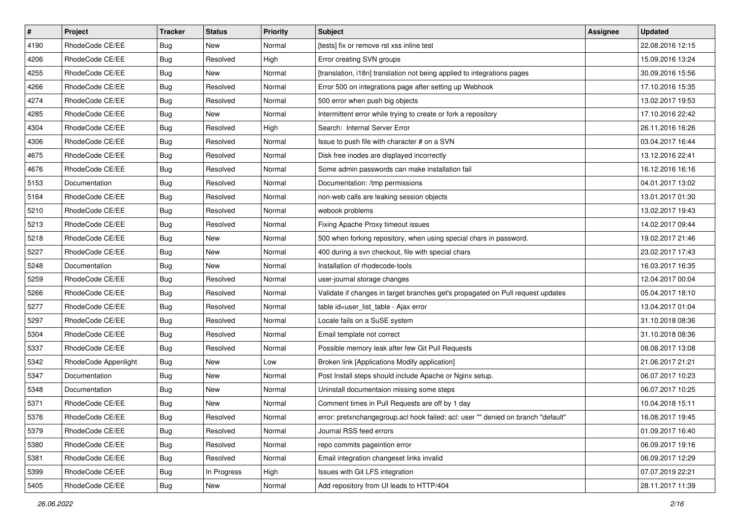| $\pmb{\#}$ | Project              | <b>Tracker</b> | <b>Status</b> | Priority | <b>Subject</b>                                                                    | <b>Assignee</b> | <b>Updated</b>   |
|------------|----------------------|----------------|---------------|----------|-----------------------------------------------------------------------------------|-----------------|------------------|
| 4190       | RhodeCode CE/EE      | <b>Bug</b>     | New           | Normal   | [tests] fix or remove rst xss inline test                                         |                 | 22.08.2016 12:15 |
| 4206       | RhodeCode CE/EE      | <b>Bug</b>     | Resolved      | High     | Error creating SVN groups                                                         |                 | 15.09.2016 13:24 |
| 4255       | RhodeCode CE/EE      | Bug            | New           | Normal   | [translation, i18n] translation not being applied to integrations pages           |                 | 30.09.2016 15:56 |
| 4266       | RhodeCode CE/EE      | <b>Bug</b>     | Resolved      | Normal   | Error 500 on integrations page after setting up Webhook                           |                 | 17.10.2016 15:35 |
| 4274       | RhodeCode CE/EE      | Bug            | Resolved      | Normal   | 500 error when push big objects                                                   |                 | 13.02.2017 19:53 |
| 4285       | RhodeCode CE/EE      | Bug            | New           | Normal   | Intermittent error while trying to create or fork a repository                    |                 | 17.10.2016 22:42 |
| 4304       | RhodeCode CE/EE      | Bug            | Resolved      | High     | Search: Internal Server Error                                                     |                 | 26.11.2016 16:26 |
| 4306       | RhodeCode CE/EE      | Bug            | Resolved      | Normal   | Issue to push file with character # on a SVN                                      |                 | 03.04.2017 16:44 |
| 4675       | RhodeCode CE/EE      | <b>Bug</b>     | Resolved      | Normal   | Disk free inodes are displayed incorrectly                                        |                 | 13.12.2016 22:41 |
| 4676       | RhodeCode CE/EE      | <b>Bug</b>     | Resolved      | Normal   | Some admin passwords can make installation fail                                   |                 | 16.12.2016 16:16 |
| 5153       | Documentation        | Bug            | Resolved      | Normal   | Documentation: /tmp permissions                                                   |                 | 04.01.2017 13:02 |
| 5164       | RhodeCode CE/EE      | Bug            | Resolved      | Normal   | non-web calls are leaking session objects                                         |                 | 13.01.2017 01:30 |
| 5210       | RhodeCode CE/EE      | <b>Bug</b>     | Resolved      | Normal   | webook problems                                                                   |                 | 13.02.2017 19:43 |
| 5213       | RhodeCode CE/EE      | Bug            | Resolved      | Normal   | Fixing Apache Proxy timeout issues                                                |                 | 14.02.2017 09:44 |
| 5218       | RhodeCode CE/EE      | <b>Bug</b>     | New           | Normal   | 500 when forking repository, when using special chars in password.                |                 | 19.02.2017 21:46 |
| 5227       | RhodeCode CE/EE      | Bug            | New           | Normal   | 400 during a svn checkout, file with special chars                                |                 | 23.02.2017 17:43 |
| 5248       | Documentation        | <b>Bug</b>     | New           | Normal   | Installation of rhodecode-tools                                                   |                 | 16.03.2017 16:35 |
| 5259       | RhodeCode CE/EE      | Bug            | Resolved      | Normal   | user-journal storage changes                                                      |                 | 12.04.2017 00:04 |
| 5266       | RhodeCode CE/EE      | <b>Bug</b>     | Resolved      | Normal   | Validate if changes in target branches get's propagated on Pull request updates   |                 | 05.04.2017 18:10 |
| 5277       | RhodeCode CE/EE      | <b>Bug</b>     | Resolved      | Normal   | table id=user_list_table - Ajax error                                             |                 | 13.04.2017 01:04 |
| 5297       | RhodeCode CE/EE      | <b>Bug</b>     | Resolved      | Normal   | Locale fails on a SuSE system                                                     |                 | 31.10.2018 08:36 |
| 5304       | RhodeCode CE/EE      | <b>Bug</b>     | Resolved      | Normal   | Email template not correct                                                        |                 | 31.10.2018 08:36 |
| 5337       | RhodeCode CE/EE      | Bug            | Resolved      | Normal   | Possible memory leak after few Git Pull Requests                                  |                 | 08.08.2017 13:08 |
| 5342       | RhodeCode Appenlight | Bug            | New           | Low      | Broken link [Applications Modify application]                                     |                 | 21.06.2017 21:21 |
| 5347       | Documentation        | <b>Bug</b>     | New           | Normal   | Post Install steps should include Apache or Nginx setup.                          |                 | 06.07.2017 10:23 |
| 5348       | Documentation        | Bug            | New           | Normal   | Uninstall documentaion missing some steps                                         |                 | 06.07.2017 10:25 |
| 5371       | RhodeCode CE/EE      | <b>Bug</b>     | New           | Normal   | Comment times in Pull Requests are off by 1 day                                   |                 | 10.04.2018 15:11 |
| 5376       | RhodeCode CE/EE      | <b>Bug</b>     | Resolved      | Normal   | error: pretxnchangegroup.acl hook failed: acl: user "" denied on branch "default" |                 | 16.08.2017 19:45 |
| 5379       | RhodeCode CE/EE      | <b>Bug</b>     | Resolved      | Normal   | Journal RSS feed errors                                                           |                 | 01.09.2017 16:40 |
| 5380       | RhodeCode CE/EE      | Bug            | Resolved      | Normal   | repo commits pageintion error                                                     |                 | 06.09.2017 19:16 |
| 5381       | RhodeCode CE/EE      | Bug            | Resolved      | Normal   | Email integration changeset links invalid                                         |                 | 06.09.2017 12:29 |
| 5399       | RhodeCode CE/EE      | <b>Bug</b>     | In Progress   | High     | Issues with Git LFS integration                                                   |                 | 07.07.2019 22:21 |
| 5405       | RhodeCode CE/EE      | <b>Bug</b>     | New           | Normal   | Add repository from UI leads to HTTP/404                                          |                 | 28.11.2017 11:39 |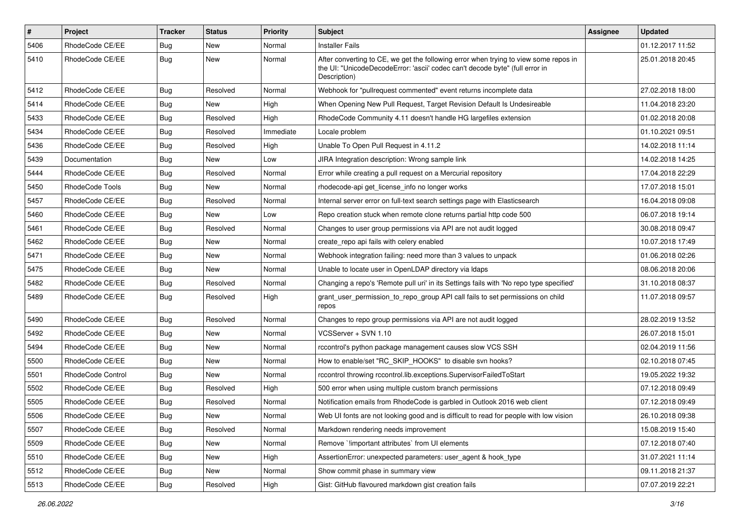| $\pmb{\#}$ | Project                | <b>Tracker</b> | <b>Status</b> | <b>Priority</b> | <b>Subject</b>                                                                                                                                                                       | Assignee | <b>Updated</b>   |
|------------|------------------------|----------------|---------------|-----------------|--------------------------------------------------------------------------------------------------------------------------------------------------------------------------------------|----------|------------------|
| 5406       | RhodeCode CE/EE        | Bug            | New           | Normal          | <b>Installer Fails</b>                                                                                                                                                               |          | 01.12.2017 11:52 |
| 5410       | RhodeCode CE/EE        | Bug            | New           | Normal          | After converting to CE, we get the following error when trying to view some repos in<br>the UI: "UnicodeDecodeError: 'ascii' codec can't decode byte" (full error in<br>Description) |          | 25.01.2018 20:45 |
| 5412       | RhodeCode CE/EE        | Bug            | Resolved      | Normal          | Webhook for "pullrequest commented" event returns incomplete data                                                                                                                    |          | 27.02.2018 18:00 |
| 5414       | RhodeCode CE/EE        | Bug            | New           | High            | When Opening New Pull Request, Target Revision Default Is Undesireable                                                                                                               |          | 11.04.2018 23:20 |
| 5433       | RhodeCode CE/EE        | Bug            | Resolved      | High            | RhodeCode Community 4.11 doesn't handle HG largefiles extension                                                                                                                      |          | 01.02.2018 20:08 |
| 5434       | RhodeCode CE/EE        | Bug            | Resolved      | Immediate       | Locale problem                                                                                                                                                                       |          | 01.10.2021 09:51 |
| 5436       | RhodeCode CE/EE        | Bug            | Resolved      | High            | Unable To Open Pull Request in 4.11.2                                                                                                                                                |          | 14.02.2018 11:14 |
| 5439       | Documentation          | <b>Bug</b>     | <b>New</b>    | Low             | JIRA Integration description: Wrong sample link                                                                                                                                      |          | 14.02.2018 14:25 |
| 5444       | RhodeCode CE/EE        | Bug            | Resolved      | Normal          | Error while creating a pull request on a Mercurial repository                                                                                                                        |          | 17.04.2018 22:29 |
| 5450       | <b>RhodeCode Tools</b> | <b>Bug</b>     | New           | Normal          | rhodecode-api get_license_info no longer works                                                                                                                                       |          | 17.07.2018 15:01 |
| 5457       | RhodeCode CE/EE        | Bug            | Resolved      | Normal          | Internal server error on full-text search settings page with Elasticsearch                                                                                                           |          | 16.04.2018 09:08 |
| 5460       | RhodeCode CE/EE        | Bug            | New           | Low             | Repo creation stuck when remote clone returns partial http code 500                                                                                                                  |          | 06.07.2018 19:14 |
| 5461       | RhodeCode CE/EE        | Bug            | Resolved      | Normal          | Changes to user group permissions via API are not audit logged                                                                                                                       |          | 30.08.2018 09:47 |
| 5462       | RhodeCode CE/EE        | <b>Bug</b>     | New           | Normal          | create repo api fails with celery enabled                                                                                                                                            |          | 10.07.2018 17:49 |
| 5471       | RhodeCode CE/EE        | Bug            | New           | Normal          | Webhook integration failing: need more than 3 values to unpack                                                                                                                       |          | 01.06.2018 02:26 |
| 5475       | RhodeCode CE/EE        | Bug            | <b>New</b>    | Normal          | Unable to locate user in OpenLDAP directory via Idaps                                                                                                                                |          | 08.06.2018 20:06 |
| 5482       | RhodeCode CE/EE        | Bug            | Resolved      | Normal          | Changing a repo's 'Remote pull uri' in its Settings fails with 'No repo type specified'                                                                                              |          | 31.10.2018 08:37 |
| 5489       | RhodeCode CE/EE        | Bug            | Resolved      | High            | grant_user_permission_to_repo_group API call fails to set permissions on child<br>repos                                                                                              |          | 11.07.2018 09:57 |
| 5490       | RhodeCode CE/EE        | Bug            | Resolved      | Normal          | Changes to repo group permissions via API are not audit logged                                                                                                                       |          | 28.02.2019 13:52 |
| 5492       | RhodeCode CE/EE        | <b>Bug</b>     | New           | Normal          | VCSServer + SVN 1.10                                                                                                                                                                 |          | 26.07.2018 15:01 |
| 5494       | RhodeCode CE/EE        | Bug            | New           | Normal          | rccontrol's python package management causes slow VCS SSH                                                                                                                            |          | 02.04.2019 11:56 |
| 5500       | RhodeCode CE/EE        | <b>Bug</b>     | New           | Normal          | How to enable/set "RC_SKIP_HOOKS" to disable svn hooks?                                                                                                                              |          | 02.10.2018 07:45 |
| 5501       | RhodeCode Control      | Bug            | New           | Normal          | rccontrol throwing rccontrol.lib.exceptions.SupervisorFailedToStart                                                                                                                  |          | 19.05.2022 19:32 |
| 5502       | RhodeCode CE/EE        | Bug            | Resolved      | High            | 500 error when using multiple custom branch permissions                                                                                                                              |          | 07.12.2018 09:49 |
| 5505       | RhodeCode CE/EE        | Bug            | Resolved      | Normal          | Notification emails from RhodeCode is garbled in Outlook 2016 web client                                                                                                             |          | 07.12.2018 09:49 |
| 5506       | RhodeCode CE/EE        | Bug            | New           | Normal          | Web UI fonts are not looking good and is difficult to read for people with low vision                                                                                                |          | 26.10.2018 09:38 |
| 5507       | RhodeCode CE/EE        | <b>Bug</b>     | Resolved      | Normal          | Markdown rendering needs improvement                                                                                                                                                 |          | 15.08.2019 15:40 |
| 5509       | RhodeCode CE/EE        | Bug            | New           | Normal          | Remove `!important attributes` from UI elements                                                                                                                                      |          | 07.12.2018 07:40 |
| 5510       | RhodeCode CE/EE        | <b>Bug</b>     | New           | High            | AssertionError: unexpected parameters: user_agent & hook_type                                                                                                                        |          | 31.07.2021 11:14 |
| 5512       | RhodeCode CE/EE        | Bug            | New           | Normal          | Show commit phase in summary view                                                                                                                                                    |          | 09.11.2018 21:37 |
| 5513       | RhodeCode CE/EE        | <b>Bug</b>     | Resolved      | High            | Gist: GitHub flavoured markdown gist creation fails                                                                                                                                  |          | 07.07.2019 22:21 |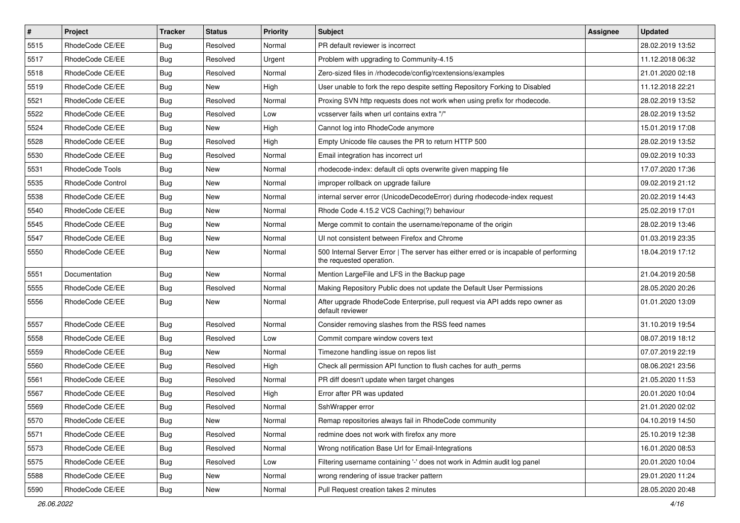| $\vert$ # | Project           | <b>Tracker</b> | <b>Status</b> | Priority | Subject                                                                                                           | <b>Assignee</b> | <b>Updated</b>   |
|-----------|-------------------|----------------|---------------|----------|-------------------------------------------------------------------------------------------------------------------|-----------------|------------------|
| 5515      | RhodeCode CE/EE   | Bug            | Resolved      | Normal   | PR default reviewer is incorrect                                                                                  |                 | 28.02.2019 13:52 |
| 5517      | RhodeCode CE/EE   | Bug            | Resolved      | Urgent   | Problem with upgrading to Community-4.15                                                                          |                 | 11.12.2018 06:32 |
| 5518      | RhodeCode CE/EE   | Bug            | Resolved      | Normal   | Zero-sized files in /rhodecode/config/rcextensions/examples                                                       |                 | 21.01.2020 02:18 |
| 5519      | RhodeCode CE/EE   | Bug            | <b>New</b>    | High     | User unable to fork the repo despite setting Repository Forking to Disabled                                       |                 | 11.12.2018 22:21 |
| 5521      | RhodeCode CE/EE   | Bug            | Resolved      | Normal   | Proxing SVN http requests does not work when using prefix for rhodecode.                                          |                 | 28.02.2019 13:52 |
| 5522      | RhodeCode CE/EE   | Bug            | Resolved      | Low      | vcsserver fails when url contains extra "/"                                                                       |                 | 28.02.2019 13:52 |
| 5524      | RhodeCode CE/EE   | Bug            | <b>New</b>    | High     | Cannot log into RhodeCode anymore                                                                                 |                 | 15.01.2019 17:08 |
| 5528      | RhodeCode CE/EE   | <b>Bug</b>     | Resolved      | High     | Empty Unicode file causes the PR to return HTTP 500                                                               |                 | 28.02.2019 13:52 |
| 5530      | RhodeCode CE/EE   | Bug            | Resolved      | Normal   | Email integration has incorrect url                                                                               |                 | 09.02.2019 10:33 |
| 5531      | RhodeCode Tools   | Bug            | <b>New</b>    | Normal   | rhodecode-index: default cli opts overwrite given mapping file                                                    |                 | 17.07.2020 17:36 |
| 5535      | RhodeCode Control | Bug            | New           | Normal   | improper rollback on upgrade failure                                                                              |                 | 09.02.2019 21:12 |
| 5538      | RhodeCode CE/EE   | Bug            | New           | Normal   | internal server error (UnicodeDecodeError) during rhodecode-index request                                         |                 | 20.02.2019 14:43 |
| 5540      | RhodeCode CE/EE   | Bug            | <b>New</b>    | Normal   | Rhode Code 4.15.2 VCS Caching(?) behaviour                                                                        |                 | 25.02.2019 17:01 |
| 5545      | RhodeCode CE/EE   | Bug            | New           | Normal   | Merge commit to contain the username/reponame of the origin                                                       |                 | 28.02.2019 13:46 |
| 5547      | RhodeCode CE/EE   | Bug            | <b>New</b>    | Normal   | UI not consistent between Firefox and Chrome                                                                      |                 | 01.03.2019 23:35 |
| 5550      | RhodeCode CE/EE   | Bug            | New           | Normal   | 500 Internal Server Error   The server has either erred or is incapable of performing<br>the requested operation. |                 | 18.04.2019 17:12 |
| 5551      | Documentation     | Bug            | <b>New</b>    | Normal   | Mention LargeFile and LFS in the Backup page                                                                      |                 | 21.04.2019 20:58 |
| 5555      | RhodeCode CE/EE   | Bug            | Resolved      | Normal   | Making Repository Public does not update the Default User Permissions                                             |                 | 28.05.2020 20:26 |
| 5556      | RhodeCode CE/EE   | Bug            | New           | Normal   | After upgrade RhodeCode Enterprise, pull request via API adds repo owner as<br>default reviewer                   |                 | 01.01.2020 13:09 |
| 5557      | RhodeCode CE/EE   | Bug            | Resolved      | Normal   | Consider removing slashes from the RSS feed names                                                                 |                 | 31.10.2019 19:54 |
| 5558      | RhodeCode CE/EE   | Bug            | Resolved      | Low      | Commit compare window covers text                                                                                 |                 | 08.07.2019 18:12 |
| 5559      | RhodeCode CE/EE   | Bug            | New           | Normal   | Timezone handling issue on repos list                                                                             |                 | 07.07.2019 22:19 |
| 5560      | RhodeCode CE/EE   | Bug            | Resolved      | High     | Check all permission API function to flush caches for auth_perms                                                  |                 | 08.06.2021 23:56 |
| 5561      | RhodeCode CE/EE   | Bug            | Resolved      | Normal   | PR diff doesn't update when target changes                                                                        |                 | 21.05.2020 11:53 |
| 5567      | RhodeCode CE/EE   | <b>Bug</b>     | Resolved      | High     | Error after PR was updated                                                                                        |                 | 20.01.2020 10:04 |
| 5569      | RhodeCode CE/EE   | Bug            | Resolved      | Normal   | SshWrapper error                                                                                                  |                 | 21.01.2020 02:02 |
| 5570      | RhodeCode CE/EE   | Bug            | New           | Normal   | Remap repositories always fail in RhodeCode community                                                             |                 | 04.10.2019 14:50 |
| 5571      | RhodeCode CE/EE   | <b>Bug</b>     | Resolved      | Normal   | redmine does not work with firefox any more                                                                       |                 | 25.10.2019 12:38 |
| 5573      | RhodeCode CE/EE   | Bug            | Resolved      | Normal   | Wrong notification Base Url for Email-Integrations                                                                |                 | 16.01.2020 08:53 |
| 5575      | RhodeCode CE/EE   | <b>Bug</b>     | Resolved      | Low      | Filtering username containing '-' does not work in Admin audit log panel                                          |                 | 20.01.2020 10:04 |
| 5588      | RhodeCode CE/EE   | Bug            | New           | Normal   | wrong rendering of issue tracker pattern                                                                          |                 | 29.01.2020 11:24 |
| 5590      | RhodeCode CE/EE   | <b>Bug</b>     | New           | Normal   | Pull Request creation takes 2 minutes                                                                             |                 | 28.05.2020 20:48 |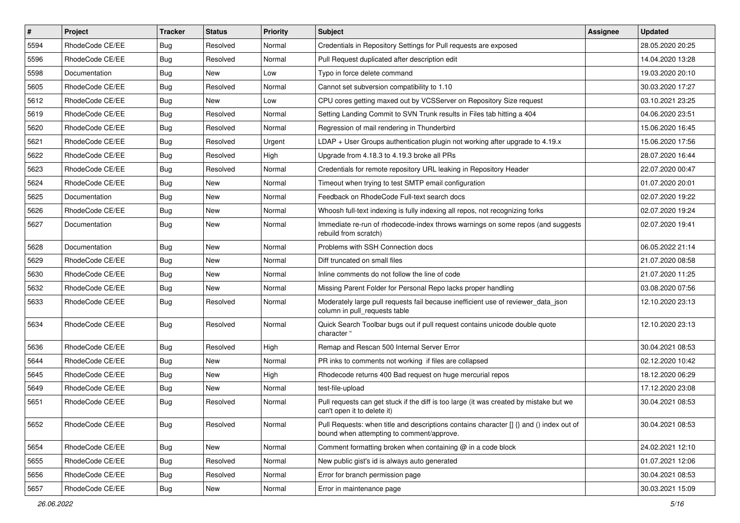| $\vert$ # | Project         | <b>Tracker</b> | <b>Status</b> | <b>Priority</b> | <b>Subject</b>                                                                                                                       | <b>Assignee</b> | <b>Updated</b>   |
|-----------|-----------------|----------------|---------------|-----------------|--------------------------------------------------------------------------------------------------------------------------------------|-----------------|------------------|
| 5594      | RhodeCode CE/EE | Bug            | Resolved      | Normal          | Credentials in Repository Settings for Pull requests are exposed                                                                     |                 | 28.05.2020 20:25 |
| 5596      | RhodeCode CE/EE | Bug            | Resolved      | Normal          | Pull Request duplicated after description edit                                                                                       |                 | 14.04.2020 13:28 |
| 5598      | Documentation   | Bug            | New           | Low             | Typo in force delete command                                                                                                         |                 | 19.03.2020 20:10 |
| 5605      | RhodeCode CE/EE | Bug            | Resolved      | Normal          | Cannot set subversion compatibility to 1.10                                                                                          |                 | 30.03.2020 17:27 |
| 5612      | RhodeCode CE/EE | Bug            | <b>New</b>    | Low             | CPU cores getting maxed out by VCSServer on Repository Size request                                                                  |                 | 03.10.2021 23:25 |
| 5619      | RhodeCode CE/EE | Bug            | Resolved      | Normal          | Setting Landing Commit to SVN Trunk results in Files tab hitting a 404                                                               |                 | 04.06.2020 23:51 |
| 5620      | RhodeCode CE/EE | Bug            | Resolved      | Normal          | Regression of mail rendering in Thunderbird                                                                                          |                 | 15.06.2020 16:45 |
| 5621      | RhodeCode CE/EE | <b>Bug</b>     | Resolved      | Urgent          | LDAP + User Groups authentication plugin not working after upgrade to 4.19.x                                                         |                 | 15.06.2020 17:56 |
| 5622      | RhodeCode CE/EE | Bug            | Resolved      | High            | Upgrade from 4.18.3 to 4.19.3 broke all PRs                                                                                          |                 | 28.07.2020 16:44 |
| 5623      | RhodeCode CE/EE | Bug            | Resolved      | Normal          | Credentials for remote repository URL leaking in Repository Header                                                                   |                 | 22.07.2020 00:47 |
| 5624      | RhodeCode CE/EE | Bug            | New           | Normal          | Timeout when trying to test SMTP email configuration                                                                                 |                 | 01.07.2020 20:01 |
| 5625      | Documentation   | Bug            | <b>New</b>    | Normal          | Feedback on RhodeCode Full-text search docs                                                                                          |                 | 02.07.2020 19:22 |
| 5626      | RhodeCode CE/EE | Bug            | <b>New</b>    | Normal          | Whoosh full-text indexing is fully indexing all repos, not recognizing forks                                                         |                 | 02.07.2020 19:24 |
| 5627      | Documentation   | Bug            | New           | Normal          | Immediate re-run of rhodecode-index throws warnings on some repos (and suggests<br>rebuild from scratch)                             |                 | 02.07.2020 19:41 |
| 5628      | Documentation   | Bug            | <b>New</b>    | Normal          | Problems with SSH Connection docs                                                                                                    |                 | 06.05.2022 21:14 |
| 5629      | RhodeCode CE/EE | Bug            | <b>New</b>    | Normal          | Diff truncated on small files                                                                                                        |                 | 21.07.2020 08:58 |
| 5630      | RhodeCode CE/EE | Bug            | <b>New</b>    | Normal          | Inline comments do not follow the line of code                                                                                       |                 | 21.07.2020 11:25 |
| 5632      | RhodeCode CE/EE | Bug            | New           | Normal          | Missing Parent Folder for Personal Repo lacks proper handling                                                                        |                 | 03.08.2020 07:56 |
| 5633      | RhodeCode CE/EE | Bug            | Resolved      | Normal          | Moderately large pull requests fail because inefficient use of reviewer_data_json<br>column in pull requests table                   |                 | 12.10.2020 23:13 |
| 5634      | RhodeCode CE/EE | Bug            | Resolved      | Normal          | Quick Search Toolbar bugs out if pull request contains unicode double quote<br>character "                                           |                 | 12.10.2020 23:13 |
| 5636      | RhodeCode CE/EE | Bug            | Resolved      | High            | Remap and Rescan 500 Internal Server Error                                                                                           |                 | 30.04.2021 08:53 |
| 5644      | RhodeCode CE/EE | Bug            | New           | Normal          | PR inks to comments not working if files are collapsed                                                                               |                 | 02.12.2020 10:42 |
| 5645      | RhodeCode CE/EE | Bug            | New           | High            | Rhodecode returns 400 Bad request on huge mercurial repos                                                                            |                 | 18.12.2020 06:29 |
| 5649      | RhodeCode CE/EE | Bug            | New           | Normal          | test-file-upload                                                                                                                     |                 | 17.12.2020 23:08 |
| 5651      | RhodeCode CE/EE | Bug            | Resolved      | Normal          | Pull requests can get stuck if the diff is too large (it was created by mistake but we<br>can't open it to delete it)                |                 | 30.04.2021 08:53 |
| 5652      | RhodeCode CE/EE | Bug            | Resolved      | Normal          | Pull Requests: when title and descriptions contains character [] {} and () index out of<br>bound when attempting to comment/approve. |                 | 30.04.2021 08:53 |
| 5654      | RhodeCode CE/EE | <b>Bug</b>     | New           | Normal          | Comment formatting broken when containing $@$ in a code block                                                                        |                 | 24.02.2021 12:10 |
| 5655      | RhodeCode CE/EE | Bug            | Resolved      | Normal          | New public gist's id is always auto generated                                                                                        |                 | 01.07.2021 12:06 |
| 5656      | RhodeCode CE/EE | <b>Bug</b>     | Resolved      | Normal          | Error for branch permission page                                                                                                     |                 | 30.04.2021 08:53 |
| 5657      | RhodeCode CE/EE | Bug            | New           | Normal          | Error in maintenance page                                                                                                            |                 | 30.03.2021 15:09 |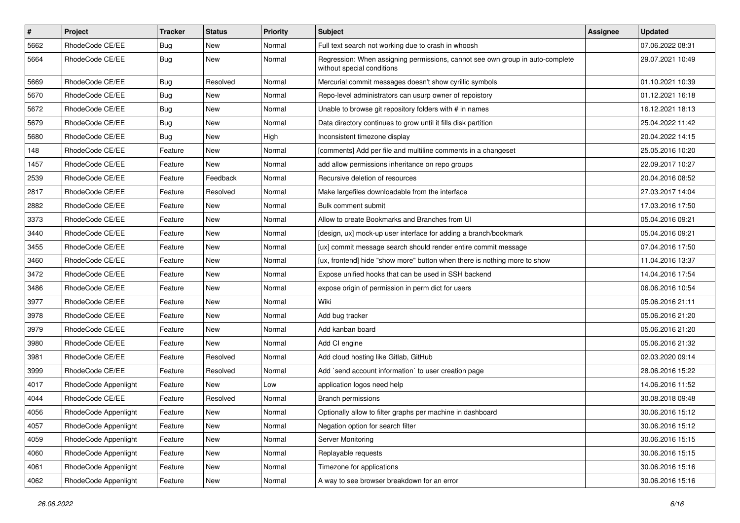| $\#$ | Project              | Tracker    | <b>Status</b> | <b>Priority</b> | Subject                                                                                                     | Assignee | <b>Updated</b>   |
|------|----------------------|------------|---------------|-----------------|-------------------------------------------------------------------------------------------------------------|----------|------------------|
| 5662 | RhodeCode CE/EE      | Bug        | New           | Normal          | Full text search not working due to crash in whoosh                                                         |          | 07.06.2022 08:31 |
| 5664 | RhodeCode CE/EE      | <b>Bug</b> | New           | Normal          | Regression: When assigning permissions, cannot see own group in auto-complete<br>without special conditions |          | 29.07.2021 10:49 |
| 5669 | RhodeCode CE/EE      | Bug        | Resolved      | Normal          | Mercurial commit messages doesn't show cyrillic symbols                                                     |          | 01.10.2021 10:39 |
| 5670 | RhodeCode CE/EE      | Bug        | New           | Normal          | Repo-level administrators can usurp owner of repoistory                                                     |          | 01.12.2021 16:18 |
| 5672 | RhodeCode CE/EE      | <b>Bug</b> | New           | Normal          | Unable to browse git repository folders with # in names                                                     |          | 16.12.2021 18:13 |
| 5679 | RhodeCode CE/EE      | <b>Bug</b> | New           | Normal          | Data directory continues to grow until it fills disk partition                                              |          | 25.04.2022 11:42 |
| 5680 | RhodeCode CE/EE      | <b>Bug</b> | New           | High            | Inconsistent timezone display                                                                               |          | 20.04.2022 14:15 |
| 148  | RhodeCode CE/EE      | Feature    | New           | Normal          | [comments] Add per file and multiline comments in a changeset                                               |          | 25.05.2016 10:20 |
| 1457 | RhodeCode CE/EE      | Feature    | New           | Normal          | add allow permissions inheritance on repo groups                                                            |          | 22.09.2017 10:27 |
| 2539 | RhodeCode CE/EE      | Feature    | Feedback      | Normal          | Recursive deletion of resources                                                                             |          | 20.04.2016 08:52 |
| 2817 | RhodeCode CE/EE      | Feature    | Resolved      | Normal          | Make largefiles downloadable from the interface                                                             |          | 27.03.2017 14:04 |
| 2882 | RhodeCode CE/EE      | Feature    | <b>New</b>    | Normal          | Bulk comment submit                                                                                         |          | 17.03.2016 17:50 |
| 3373 | RhodeCode CE/EE      | Feature    | New           | Normal          | Allow to create Bookmarks and Branches from UI                                                              |          | 05.04.2016 09:21 |
| 3440 | RhodeCode CE/EE      | Feature    | New           | Normal          | [design, ux] mock-up user interface for adding a branch/bookmark                                            |          | 05.04.2016 09:21 |
| 3455 | RhodeCode CE/EE      | Feature    | New           | Normal          | [ux] commit message search should render entire commit message                                              |          | 07.04.2016 17:50 |
| 3460 | RhodeCode CE/EE      | Feature    | New           | Normal          | [ux, frontend] hide "show more" button when there is nothing more to show                                   |          | 11.04.2016 13:37 |
| 3472 | RhodeCode CE/EE      | Feature    | New           | Normal          | Expose unified hooks that can be used in SSH backend                                                        |          | 14.04.2016 17:54 |
| 3486 | RhodeCode CE/EE      | Feature    | New           | Normal          | expose origin of permission in perm dict for users                                                          |          | 06.06.2016 10:54 |
| 3977 | RhodeCode CE/EE      | Feature    | <b>New</b>    | Normal          | Wiki                                                                                                        |          | 05.06.2016 21:11 |
| 3978 | RhodeCode CE/EE      | Feature    | New           | Normal          | Add bug tracker                                                                                             |          | 05.06.2016 21:20 |
| 3979 | RhodeCode CE/EE      | Feature    | New           | Normal          | Add kanban board                                                                                            |          | 05.06.2016 21:20 |
| 3980 | RhodeCode CE/EE      | Feature    | New           | Normal          | Add CI engine                                                                                               |          | 05.06.2016 21:32 |
| 3981 | RhodeCode CE/EE      | Feature    | Resolved      | Normal          | Add cloud hosting like Gitlab, GitHub                                                                       |          | 02.03.2020 09:14 |
| 3999 | RhodeCode CE/EE      | Feature    | Resolved      | Normal          | Add `send account information` to user creation page                                                        |          | 28.06.2016 15:22 |
| 4017 | RhodeCode Appenlight | Feature    | <b>New</b>    | Low             | application logos need help                                                                                 |          | 14.06.2016 11:52 |
| 4044 | RhodeCode CE/EE      | Feature    | Resolved      | Normal          | <b>Branch permissions</b>                                                                                   |          | 30.08.2018 09:48 |
| 4056 | RhodeCode Appenlight | Feature    | New           | Normal          | Optionally allow to filter graphs per machine in dashboard                                                  |          | 30.06.2016 15:12 |
| 4057 | RhodeCode Appenlight | Feature    | New           | Normal          | Negation option for search filter                                                                           |          | 30.06.2016 15:12 |
| 4059 | RhodeCode Appenlight | Feature    | New           | Normal          | Server Monitoring                                                                                           |          | 30.06.2016 15:15 |
| 4060 | RhodeCode Appenlight | Feature    | New           | Normal          | Replayable requests                                                                                         |          | 30.06.2016 15:15 |
| 4061 | RhodeCode Appenlight | Feature    | New           | Normal          | Timezone for applications                                                                                   |          | 30.06.2016 15:16 |
| 4062 | RhodeCode Appenlight | Feature    | New           | Normal          | A way to see browser breakdown for an error                                                                 |          | 30.06.2016 15:16 |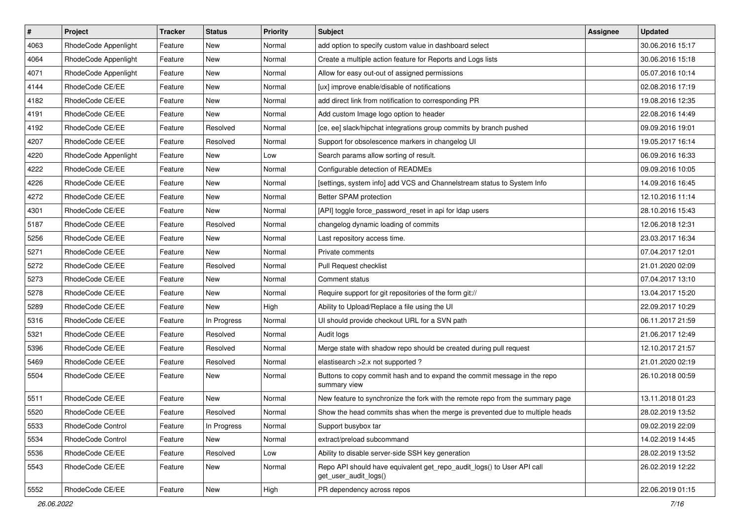| $\vert$ # | Project              | <b>Tracker</b> | <b>Status</b> | <b>Priority</b> | <b>Subject</b>                                                                                  | <b>Assignee</b> | <b>Updated</b>   |
|-----------|----------------------|----------------|---------------|-----------------|-------------------------------------------------------------------------------------------------|-----------------|------------------|
| 4063      | RhodeCode Appenlight | Feature        | New           | Normal          | add option to specify custom value in dashboard select                                          |                 | 30.06.2016 15:17 |
| 4064      | RhodeCode Appenlight | Feature        | <b>New</b>    | Normal          | Create a multiple action feature for Reports and Logs lists                                     |                 | 30.06.2016 15:18 |
| 4071      | RhodeCode Appenlight | Feature        | New           | Normal          | Allow for easy out-out of assigned permissions                                                  |                 | 05.07.2016 10:14 |
| 4144      | RhodeCode CE/EE      | Feature        | New           | Normal          | [ux] improve enable/disable of notifications                                                    |                 | 02.08.2016 17:19 |
| 4182      | RhodeCode CE/EE      | Feature        | New           | Normal          | add direct link from notification to corresponding PR                                           |                 | 19.08.2016 12:35 |
| 4191      | RhodeCode CE/EE      | Feature        | New           | Normal          | Add custom Image logo option to header                                                          |                 | 22.08.2016 14:49 |
| 4192      | RhodeCode CE/EE      | Feature        | Resolved      | Normal          | [ce, ee] slack/hipchat integrations group commits by branch pushed                              |                 | 09.09.2016 19:01 |
| 4207      | RhodeCode CE/EE      | Feature        | Resolved      | Normal          | Support for obsolescence markers in changelog UI                                                |                 | 19.05.2017 16:14 |
| 4220      | RhodeCode Appenlight | Feature        | New           | Low             | Search params allow sorting of result.                                                          |                 | 06.09.2016 16:33 |
| 4222      | RhodeCode CE/EE      | Feature        | New           | Normal          | Configurable detection of READMEs                                                               |                 | 09.09.2016 10:05 |
| 4226      | RhodeCode CE/EE      | Feature        | New           | Normal          | [settings, system info] add VCS and Channelstream status to System Info                         |                 | 14.09.2016 16:45 |
| 4272      | RhodeCode CE/EE      | Feature        | New           | Normal          | Better SPAM protection                                                                          |                 | 12.10.2016 11:14 |
| 4301      | RhodeCode CE/EE      | Feature        | <b>New</b>    | Normal          | [API] toggle force_password_reset in api for Idap users                                         |                 | 28.10.2016 15:43 |
| 5187      | RhodeCode CE/EE      | Feature        | Resolved      | Normal          | changelog dynamic loading of commits                                                            |                 | 12.06.2018 12:31 |
| 5256      | RhodeCode CE/EE      | Feature        | <b>New</b>    | Normal          | Last repository access time.                                                                    |                 | 23.03.2017 16:34 |
| 5271      | RhodeCode CE/EE      | Feature        | New           | Normal          | Private comments                                                                                |                 | 07.04.2017 12:01 |
| 5272      | RhodeCode CE/EE      | Feature        | Resolved      | Normal          | Pull Request checklist                                                                          |                 | 21.01.2020 02:09 |
| 5273      | RhodeCode CE/EE      | Feature        | New           | Normal          | Comment status                                                                                  |                 | 07.04.2017 13:10 |
| 5278      | RhodeCode CE/EE      | Feature        | New           | Normal          | Require support for git repositories of the form git://                                         |                 | 13.04.2017 15:20 |
| 5289      | RhodeCode CE/EE      | Feature        | <b>New</b>    | High            | Ability to Upload/Replace a file using the UI                                                   |                 | 22.09.2017 10:29 |
| 5316      | RhodeCode CE/EE      | Feature        | In Progress   | Normal          | UI should provide checkout URL for a SVN path                                                   |                 | 06.11.2017 21:59 |
| 5321      | RhodeCode CE/EE      | Feature        | Resolved      | Normal          | Audit logs                                                                                      |                 | 21.06.2017 12:49 |
| 5396      | RhodeCode CE/EE      | Feature        | Resolved      | Normal          | Merge state with shadow repo should be created during pull request                              |                 | 12.10.2017 21:57 |
| 5469      | RhodeCode CE/EE      | Feature        | Resolved      | Normal          | elastisearch > 2.x not supported ?                                                              |                 | 21.01.2020 02:19 |
| 5504      | RhodeCode CE/EE      | Feature        | New           | Normal          | Buttons to copy commit hash and to expand the commit message in the repo<br>summary view        |                 | 26.10.2018 00:59 |
| 5511      | RhodeCode CE/EE      | Feature        | New           | Normal          | New feature to synchronize the fork with the remote repo from the summary page                  |                 | 13.11.2018 01:23 |
| 5520      | RhodeCode CE/EE      | Feature        | Resolved      | Normal          | Show the head commits shas when the merge is prevented due to multiple heads                    |                 | 28.02.2019 13:52 |
| 5533      | RhodeCode Control    | Feature        | In Progress   | Normal          | Support busybox tar                                                                             |                 | 09.02.2019 22:09 |
| 5534      | RhodeCode Control    | Feature        | New           | Normal          | extract/preload subcommand                                                                      |                 | 14.02.2019 14:45 |
| 5536      | RhodeCode CE/EE      | Feature        | Resolved      | Low             | Ability to disable server-side SSH key generation                                               |                 | 28.02.2019 13:52 |
| 5543      | RhodeCode CE/EE      | Feature        | New           | Normal          | Repo API should have equivalent get_repo_audit_logs() to User API call<br>get user audit logs() |                 | 26.02.2019 12:22 |
| 5552      | RhodeCode CE/EE      | Feature        | New           | High            | PR dependency across repos                                                                      |                 | 22.06.2019 01:15 |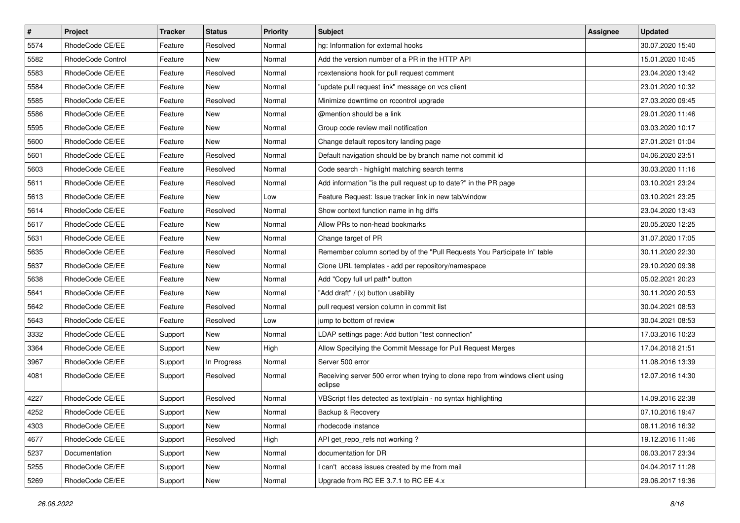| $\vert$ # | Project                  | <b>Tracker</b> | <b>Status</b> | <b>Priority</b> | <b>Subject</b>                                                                            | <b>Assignee</b> | <b>Updated</b>   |
|-----------|--------------------------|----------------|---------------|-----------------|-------------------------------------------------------------------------------------------|-----------------|------------------|
| 5574      | RhodeCode CE/EE          | Feature        | Resolved      | Normal          | hg: Information for external hooks                                                        |                 | 30.07.2020 15:40 |
| 5582      | <b>RhodeCode Control</b> | Feature        | <b>New</b>    | Normal          | Add the version number of a PR in the HTTP API                                            |                 | 15.01.2020 10:45 |
| 5583      | RhodeCode CE/EE          | Feature        | Resolved      | Normal          | rcextensions hook for pull request comment                                                |                 | 23.04.2020 13:42 |
| 5584      | RhodeCode CE/EE          | Feature        | New           | Normal          | "update pull request link" message on vcs client                                          |                 | 23.01.2020 10:32 |
| 5585      | RhodeCode CE/EE          | Feature        | Resolved      | Normal          | Minimize downtime on rccontrol upgrade                                                    |                 | 27.03.2020 09:45 |
| 5586      | RhodeCode CE/EE          | Feature        | New           | Normal          | @mention should be a link                                                                 |                 | 29.01.2020 11:46 |
| 5595      | RhodeCode CE/EE          | Feature        | New           | Normal          | Group code review mail notification                                                       |                 | 03.03.2020 10:17 |
| 5600      | RhodeCode CE/EE          | Feature        | New           | Normal          | Change default repository landing page                                                    |                 | 27.01.2021 01:04 |
| 5601      | RhodeCode CE/EE          | Feature        | Resolved      | Normal          | Default navigation should be by branch name not commit id                                 |                 | 04.06.2020 23:51 |
| 5603      | RhodeCode CE/EE          | Feature        | Resolved      | Normal          | Code search - highlight matching search terms                                             |                 | 30.03.2020 11:16 |
| 5611      | RhodeCode CE/EE          | Feature        | Resolved      | Normal          | Add information "is the pull request up to date?" in the PR page                          |                 | 03.10.2021 23:24 |
| 5613      | RhodeCode CE/EE          | Feature        | New           | Low             | Feature Request: Issue tracker link in new tab/window                                     |                 | 03.10.2021 23:25 |
| 5614      | RhodeCode CE/EE          | Feature        | Resolved      | Normal          | Show context function name in hg diffs                                                    |                 | 23.04.2020 13:43 |
| 5617      | RhodeCode CE/EE          | Feature        | New           | Normal          | Allow PRs to non-head bookmarks                                                           |                 | 20.05.2020 12:25 |
| 5631      | RhodeCode CE/EE          | Feature        | <b>New</b>    | Normal          | Change target of PR                                                                       |                 | 31.07.2020 17:05 |
| 5635      | RhodeCode CE/EE          | Feature        | Resolved      | Normal          | Remember column sorted by of the "Pull Requests You Participate In" table                 |                 | 30.11.2020 22:30 |
| 5637      | RhodeCode CE/EE          | Feature        | New           | Normal          | Clone URL templates - add per repository/namespace                                        |                 | 29.10.2020 09:38 |
| 5638      | RhodeCode CE/EE          | Feature        | <b>New</b>    | Normal          | Add "Copy full url path" button                                                           |                 | 05.02.2021 20:23 |
| 5641      | RhodeCode CE/EE          | Feature        | New           | Normal          | "Add draft" / (x) button usability                                                        |                 | 30.11.2020 20:53 |
| 5642      | RhodeCode CE/EE          | Feature        | Resolved      | Normal          | pull request version column in commit list                                                |                 | 30.04.2021 08:53 |
| 5643      | RhodeCode CE/EE          | Feature        | Resolved      | Low             | jump to bottom of review                                                                  |                 | 30.04.2021 08:53 |
| 3332      | RhodeCode CE/EE          | Support        | New           | Normal          | LDAP settings page: Add button "test connection"                                          |                 | 17.03.2016 10:23 |
| 3364      | RhodeCode CE/EE          | Support        | New           | High            | Allow Specifying the Commit Message for Pull Request Merges                               |                 | 17.04.2018 21:51 |
| 3967      | RhodeCode CE/EE          | Support        | In Progress   | Normal          | Server 500 error                                                                          |                 | 11.08.2016 13:39 |
| 4081      | RhodeCode CE/EE          | Support        | Resolved      | Normal          | Receiving server 500 error when trying to clone repo from windows client using<br>eclipse |                 | 12.07.2016 14:30 |
| 4227      | RhodeCode CE/EE          | Support        | Resolved      | Normal          | VBScript files detected as text/plain - no syntax highlighting                            |                 | 14.09.2016 22:38 |
| 4252      | RhodeCode CE/EE          | Support        | New           | Normal          | Backup & Recovery                                                                         |                 | 07.10.2016 19:47 |
| 4303      | RhodeCode CE/EE          | Support        | New           | Normal          | rhodecode instance                                                                        |                 | 08.11.2016 16:32 |
| 4677      | RhodeCode CE/EE          | Support        | Resolved      | High            | API get_repo_refs not working?                                                            |                 | 19.12.2016 11:46 |
| 5237      | Documentation            | Support        | New           | Normal          | documentation for DR                                                                      |                 | 06.03.2017 23:34 |
| 5255      | RhodeCode CE/EE          | Support        | New           | Normal          | I can't access issues created by me from mail                                             |                 | 04.04.2017 11:28 |
| 5269      | RhodeCode CE/EE          | Support        | New           | Normal          | Upgrade from RC EE 3.7.1 to RC EE 4.x                                                     |                 | 29.06.2017 19:36 |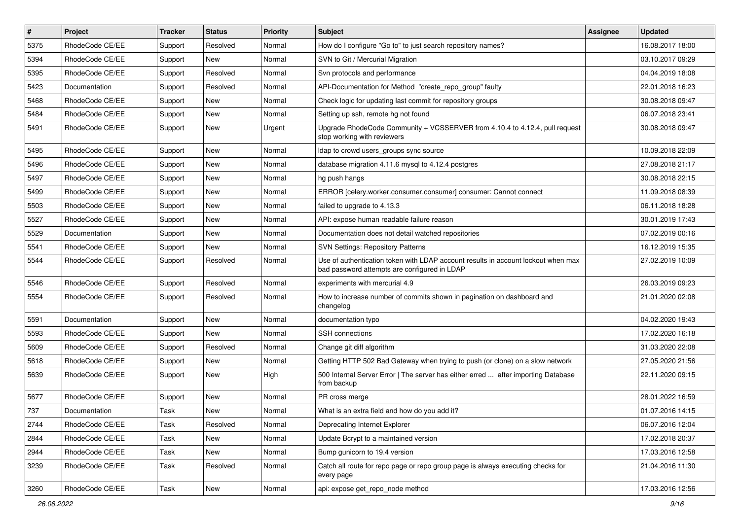| $\vert$ # | Project         | <b>Tracker</b> | <b>Status</b> | <b>Priority</b> | <b>Subject</b>                                                                                                                    | <b>Assignee</b> | <b>Updated</b>   |
|-----------|-----------------|----------------|---------------|-----------------|-----------------------------------------------------------------------------------------------------------------------------------|-----------------|------------------|
| 5375      | RhodeCode CE/EE | Support        | Resolved      | Normal          | How do I configure "Go to" to just search repository names?                                                                       |                 | 16.08.2017 18:00 |
| 5394      | RhodeCode CE/EE | Support        | <b>New</b>    | Normal          | SVN to Git / Mercurial Migration                                                                                                  |                 | 03.10.2017 09:29 |
| 5395      | RhodeCode CE/EE | Support        | Resolved      | Normal          | Svn protocols and performance                                                                                                     |                 | 04.04.2019 18:08 |
| 5423      | Documentation   | Support        | Resolved      | Normal          | API-Documentation for Method "create repo group" faulty                                                                           |                 | 22.01.2018 16:23 |
| 5468      | RhodeCode CE/EE | Support        | New           | Normal          | Check logic for updating last commit for repository groups                                                                        |                 | 30.08.2018 09:47 |
| 5484      | RhodeCode CE/EE | Support        | New           | Normal          | Setting up ssh, remote hg not found                                                                                               |                 | 06.07.2018 23:41 |
| 5491      | RhodeCode CE/EE | Support        | New           | Urgent          | Upgrade RhodeCode Community + VCSSERVER from 4.10.4 to 4.12.4, pull request<br>stop working with reviewers                        |                 | 30.08.2018 09:47 |
| 5495      | RhodeCode CE/EE | Support        | New           | Normal          | Idap to crowd users groups sync source                                                                                            |                 | 10.09.2018 22:09 |
| 5496      | RhodeCode CE/EE | Support        | New           | Normal          | database migration 4.11.6 mysql to 4.12.4 postgres                                                                                |                 | 27.08.2018 21:17 |
| 5497      | RhodeCode CE/EE | Support        | New           | Normal          | hg push hangs                                                                                                                     |                 | 30.08.2018 22:15 |
| 5499      | RhodeCode CE/EE | Support        | New           | Normal          | ERROR [celery.worker.consumer.consumer] consumer: Cannot connect                                                                  |                 | 11.09.2018 08:39 |
| 5503      | RhodeCode CE/EE | Support        | New           | Normal          | failed to upgrade to 4.13.3                                                                                                       |                 | 06.11.2018 18:28 |
| 5527      | RhodeCode CE/EE | Support        | New           | Normal          | API: expose human readable failure reason                                                                                         |                 | 30.01.2019 17:43 |
| 5529      | Documentation   | Support        | <b>New</b>    | Normal          | Documentation does not detail watched repositories                                                                                |                 | 07.02.2019 00:16 |
| 5541      | RhodeCode CE/EE | Support        | New           | Normal          | <b>SVN Settings: Repository Patterns</b>                                                                                          |                 | 16.12.2019 15:35 |
| 5544      | RhodeCode CE/EE | Support        | Resolved      | Normal          | Use of authentication token with LDAP account results in account lockout when max<br>bad password attempts are configured in LDAP |                 | 27.02.2019 10:09 |
| 5546      | RhodeCode CE/EE | Support        | Resolved      | Normal          | experiments with mercurial 4.9                                                                                                    |                 | 26.03.2019 09:23 |
| 5554      | RhodeCode CE/EE | Support        | Resolved      | Normal          | How to increase number of commits shown in pagination on dashboard and<br>changelog                                               |                 | 21.01.2020 02:08 |
| 5591      | Documentation   | Support        | New           | Normal          | documentation typo                                                                                                                |                 | 04.02.2020 19:43 |
| 5593      | RhodeCode CE/EE | Support        | <b>New</b>    | Normal          | SSH connections                                                                                                                   |                 | 17.02.2020 16:18 |
| 5609      | RhodeCode CE/EE | Support        | Resolved      | Normal          | Change git diff algorithm                                                                                                         |                 | 31.03.2020 22:08 |
| 5618      | RhodeCode CE/EE | Support        | New           | Normal          | Getting HTTP 502 Bad Gateway when trying to push (or clone) on a slow network                                                     |                 | 27.05.2020 21:56 |
| 5639      | RhodeCode CE/EE | Support        | New           | High            | 500 Internal Server Error   The server has either erred  after importing Database<br>from backup                                  |                 | 22.11.2020 09:15 |
| 5677      | RhodeCode CE/EE | Support        | New           | Normal          | PR cross merge                                                                                                                    |                 | 28.01.2022 16:59 |
| 737       | Documentation   | Task           | New           | Normal          | What is an extra field and how do you add it?                                                                                     |                 | 01.07.2016 14:15 |
| 2744      | RhodeCode CE/EE | Task           | Resolved      | Normal          | Deprecating Internet Explorer                                                                                                     |                 | 06.07.2016 12:04 |
| 2844      | RhodeCode CE/EE | Task           | New           | Normal          | Update Bcrypt to a maintained version                                                                                             |                 | 17.02.2018 20:37 |
| 2944      | RhodeCode CE/EE | Task           | New           | Normal          | Bump gunicorn to 19.4 version                                                                                                     |                 | 17.03.2016 12:58 |
| 3239      | RhodeCode CE/EE | Task           | Resolved      | Normal          | Catch all route for repo page or repo group page is always executing checks for<br>every page                                     |                 | 21.04.2016 11:30 |
| 3260      | RhodeCode CE/EE | Task           | New           | Normal          | api: expose get_repo_node method                                                                                                  |                 | 17.03.2016 12:56 |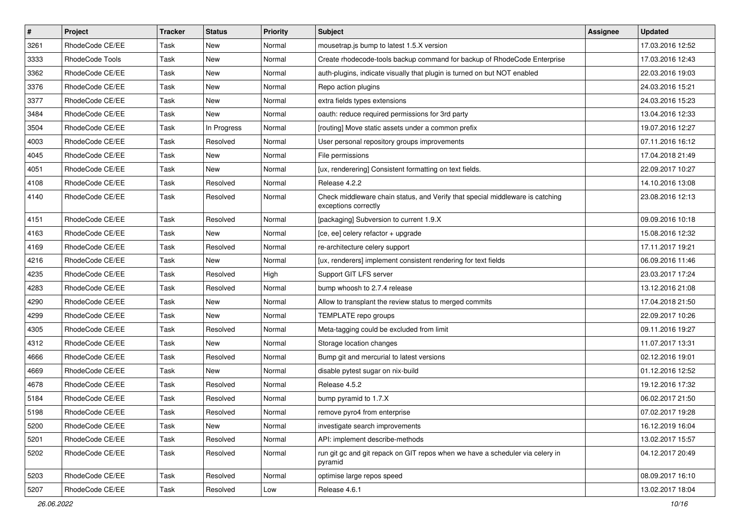| $\vert$ # | Project         | <b>Tracker</b> | <b>Status</b> | <b>Priority</b> | <b>Subject</b>                                                                                        | <b>Assignee</b> | <b>Updated</b>   |
|-----------|-----------------|----------------|---------------|-----------------|-------------------------------------------------------------------------------------------------------|-----------------|------------------|
| 3261      | RhodeCode CE/EE | Task           | New           | Normal          | mousetrap.js bump to latest 1.5.X version                                                             |                 | 17.03.2016 12:52 |
| 3333      | RhodeCode Tools | Task           | <b>New</b>    | Normal          | Create rhodecode-tools backup command for backup of RhodeCode Enterprise                              |                 | 17.03.2016 12:43 |
| 3362      | RhodeCode CE/EE | Task           | New           | Normal          | auth-plugins, indicate visually that plugin is turned on but NOT enabled                              |                 | 22.03.2016 19:03 |
| 3376      | RhodeCode CE/EE | Task           | New           | Normal          | Repo action plugins                                                                                   |                 | 24.03.2016 15:21 |
| 3377      | RhodeCode CE/EE | Task           | New           | Normal          | extra fields types extensions                                                                         |                 | 24.03.2016 15:23 |
| 3484      | RhodeCode CE/EE | Task           | New           | Normal          | oauth: reduce required permissions for 3rd party                                                      |                 | 13.04.2016 12:33 |
| 3504      | RhodeCode CE/EE | Task           | In Progress   | Normal          | [routing] Move static assets under a common prefix                                                    |                 | 19.07.2016 12:27 |
| 4003      | RhodeCode CE/EE | Task           | Resolved      | Normal          | User personal repository groups improvements                                                          |                 | 07.11.2016 16:12 |
| 4045      | RhodeCode CE/EE | Task           | New           | Normal          | File permissions                                                                                      |                 | 17.04.2018 21:49 |
| 4051      | RhodeCode CE/EE | Task           | New           | Normal          | [ux, renderering] Consistent formatting on text fields.                                               |                 | 22.09.2017 10:27 |
| 4108      | RhodeCode CE/EE | Task           | Resolved      | Normal          | Release 4.2.2                                                                                         |                 | 14.10.2016 13:08 |
| 4140      | RhodeCode CE/EE | Task           | Resolved      | Normal          | Check middleware chain status, and Verify that special middleware is catching<br>exceptions correctly |                 | 23.08.2016 12:13 |
| 4151      | RhodeCode CE/EE | Task           | Resolved      | Normal          | [packaging] Subversion to current 1.9.X                                                               |                 | 09.09.2016 10:18 |
| 4163      | RhodeCode CE/EE | Task           | New           | Normal          | [ce, ee] celery refactor + upgrade                                                                    |                 | 15.08.2016 12:32 |
| 4169      | RhodeCode CE/EE | Task           | Resolved      | Normal          | re-architecture celery support                                                                        |                 | 17.11.2017 19:21 |
| 4216      | RhodeCode CE/EE | Task           | New           | Normal          | [ux, renderers] implement consistent rendering for text fields                                        |                 | 06.09.2016 11:46 |
| 4235      | RhodeCode CE/EE | Task           | Resolved      | High            | Support GIT LFS server                                                                                |                 | 23.03.2017 17:24 |
| 4283      | RhodeCode CE/EE | Task           | Resolved      | Normal          | bump whoosh to 2.7.4 release                                                                          |                 | 13.12.2016 21:08 |
| 4290      | RhodeCode CE/EE | Task           | New           | Normal          | Allow to transplant the review status to merged commits                                               |                 | 17.04.2018 21:50 |
| 4299      | RhodeCode CE/EE | Task           | <b>New</b>    | Normal          | TEMPLATE repo groups                                                                                  |                 | 22.09.2017 10:26 |
| 4305      | RhodeCode CE/EE | Task           | Resolved      | Normal          | Meta-tagging could be excluded from limit                                                             |                 | 09.11.2016 19:27 |
| 4312      | RhodeCode CE/EE | Task           | New           | Normal          | Storage location changes                                                                              |                 | 11.07.2017 13:31 |
| 4666      | RhodeCode CE/EE | Task           | Resolved      | Normal          | Bump git and mercurial to latest versions                                                             |                 | 02.12.2016 19:01 |
| 4669      | RhodeCode CE/EE | Task           | New           | Normal          | disable pytest sugar on nix-build                                                                     |                 | 01.12.2016 12:52 |
| 4678      | RhodeCode CE/EE | Task           | Resolved      | Normal          | Release 4.5.2                                                                                         |                 | 19.12.2016 17:32 |
| 5184      | RhodeCode CE/EE | Task           | Resolved      | Normal          | bump pyramid to 1.7.X                                                                                 |                 | 06.02.2017 21:50 |
| 5198      | RhodeCode CE/EE | Task           | Resolved      | Normal          | remove pyro4 from enterprise                                                                          |                 | 07.02.2017 19:28 |
| 5200      | RhodeCode CE/EE | Task           | New           | Normal          | investigate search improvements                                                                       |                 | 16.12.2019 16:04 |
| 5201      | RhodeCode CE/EE | Task           | Resolved      | Normal          | API: implement describe-methods                                                                       |                 | 13.02.2017 15:57 |
| 5202      | RhodeCode CE/EE | Task           | Resolved      | Normal          | run git gc and git repack on GIT repos when we have a scheduler via celery in<br>pyramid              |                 | 04.12.2017 20:49 |
| 5203      | RhodeCode CE/EE | Task           | Resolved      | Normal          | optimise large repos speed                                                                            |                 | 08.09.2017 16:10 |
| 5207      | RhodeCode CE/EE | Task           | Resolved      | Low             | Release 4.6.1                                                                                         |                 | 13.02.2017 18:04 |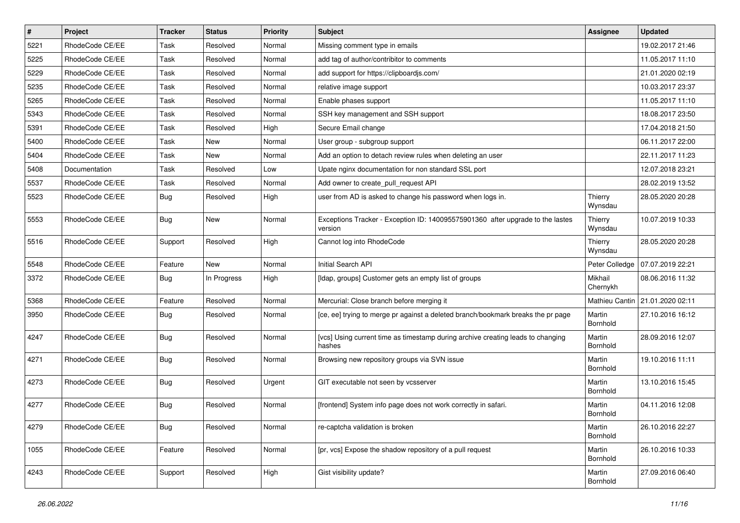| $\sharp$ | Project         | <b>Tracker</b> | <b>Status</b> | <b>Priority</b> | <b>Subject</b>                                                                            | <b>Assignee</b>     | <b>Updated</b>                    |
|----------|-----------------|----------------|---------------|-----------------|-------------------------------------------------------------------------------------------|---------------------|-----------------------------------|
| 5221     | RhodeCode CE/EE | Task           | Resolved      | Normal          | Missing comment type in emails                                                            |                     | 19.02.2017 21:46                  |
| 5225     | RhodeCode CE/EE | Task           | Resolved      | Normal          | add tag of author/contribitor to comments                                                 |                     | 11.05.2017 11:10                  |
| 5229     | RhodeCode CE/EE | Task           | Resolved      | Normal          | add support for https://clipboardjs.com/                                                  |                     | 21.01.2020 02:19                  |
| 5235     | RhodeCode CE/EE | Task           | Resolved      | Normal          | relative image support                                                                    |                     | 10.03.2017 23:37                  |
| 5265     | RhodeCode CE/EE | Task           | Resolved      | Normal          | Enable phases support                                                                     |                     | 11.05.2017 11:10                  |
| 5343     | RhodeCode CE/EE | Task           | Resolved      | Normal          | SSH key management and SSH support                                                        |                     | 18.08.2017 23:50                  |
| 5391     | RhodeCode CE/EE | Task           | Resolved      | High            | Secure Email change                                                                       |                     | 17.04.2018 21:50                  |
| 5400     | RhodeCode CE/EE | Task           | New           | Normal          | User group - subgroup support                                                             |                     | 06.11.2017 22:00                  |
| 5404     | RhodeCode CE/EE | Task           | <b>New</b>    | Normal          | Add an option to detach review rules when deleting an user                                |                     | 22.11.2017 11:23                  |
| 5408     | Documentation   | Task           | Resolved      | Low             | Upate nginx documentation for non standard SSL port                                       |                     | 12.07.2018 23:21                  |
| 5537     | RhodeCode CE/EE | Task           | Resolved      | Normal          | Add owner to create_pull_request API                                                      |                     | 28.02.2019 13:52                  |
| 5523     | RhodeCode CE/EE | Bug            | Resolved      | High            | user from AD is asked to change his password when logs in.                                | Thierry<br>Wynsdau  | 28.05.2020 20:28                  |
| 5553     | RhodeCode CE/EE | <b>Bug</b>     | <b>New</b>    | Normal          | Exceptions Tracker - Exception ID: 140095575901360 after upgrade to the lastes<br>version | Thierry<br>Wynsdau  | 10.07.2019 10:33                  |
| 5516     | RhodeCode CE/EE | Support        | Resolved      | High            | Cannot log into RhodeCode                                                                 | Thierry<br>Wynsdau  | 28.05.2020 20:28                  |
| 5548     | RhodeCode CE/EE | Feature        | <b>New</b>    | Normal          | Initial Search API                                                                        | Peter Colledge      | 07.07.2019 22:21                  |
| 3372     | RhodeCode CE/EE | <b>Bug</b>     | In Progress   | High            | [Idap, groups] Customer gets an empty list of groups                                      | Mikhail<br>Chernykh | 08.06.2016 11:32                  |
| 5368     | RhodeCode CE/EE | Feature        | Resolved      | Normal          | Mercurial: Close branch before merging it                                                 |                     | Mathieu Cantin   21.01.2020 02:11 |
| 3950     | RhodeCode CE/EE | Bug            | Resolved      | Normal          | [ce, ee] trying to merge pr against a deleted branch/bookmark breaks the pr page          | Martin<br>Bornhold  | 27.10.2016 16:12                  |
| 4247     | RhodeCode CE/EE | Bug            | Resolved      | Normal          | [vcs] Using current time as timestamp during archive creating leads to changing<br>hashes | Martin<br>Bornhold  | 28.09.2016 12:07                  |
| 4271     | RhodeCode CE/EE | Bug            | Resolved      | Normal          | Browsing new repository groups via SVN issue                                              | Martin<br>Bornhold  | 19.10.2016 11:11                  |
| 4273     | RhodeCode CE/EE | Bug            | Resolved      | Urgent          | GIT executable not seen by vcsserver                                                      | Martin<br>Bornhold  | 13.10.2016 15:45                  |
| 4277     | RhodeCode CE/EE | Bug            | Resolved      | Normal          | [frontend] System info page does not work correctly in safari.                            | Martin<br>Bornhold  | 04.11.2016 12:08                  |
| 4279     | RhodeCode CE/EE | <b>Bug</b>     | Resolved      | Normal          | re-captcha validation is broken                                                           | Martin<br>Bornhold  | 26.10.2016 22:27                  |
| 1055     | RhodeCode CE/EE | Feature        | Resolved      | Normal          | [pr, vcs] Expose the shadow repository of a pull request                                  | Martin<br>Bornhold  | 26.10.2016 10:33                  |
| 4243     | RhodeCode CE/EE | Support        | Resolved      | High            | Gist visibility update?                                                                   | Martin<br>Bornhold  | 27.09.2016 06:40                  |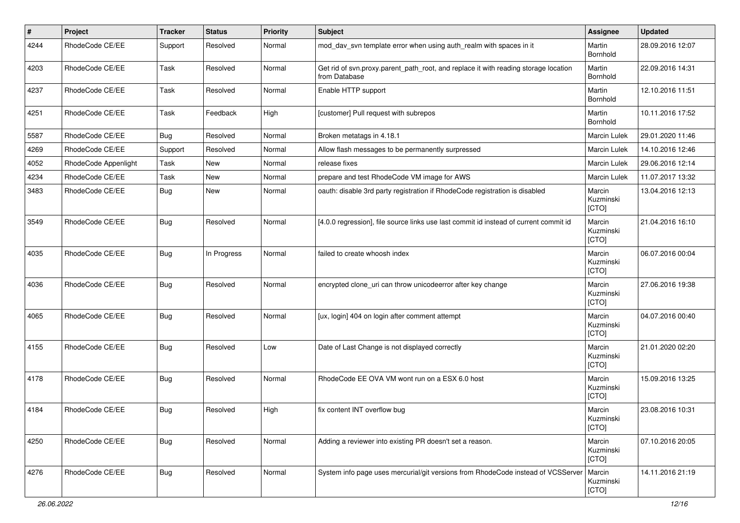| #    | Project              | <b>Tracker</b> | <b>Status</b> | <b>Priority</b> | <b>Subject</b>                                                                                       | Assignee                     | <b>Updated</b>   |
|------|----------------------|----------------|---------------|-----------------|------------------------------------------------------------------------------------------------------|------------------------------|------------------|
| 4244 | RhodeCode CE/EE      | Support        | Resolved      | Normal          | mod_dav_svn template error when using auth_realm with spaces in it                                   | Martin<br>Bornhold           | 28.09.2016 12:07 |
| 4203 | RhodeCode CE/EE      | Task           | Resolved      | Normal          | Get rid of svn.proxy.parent_path_root, and replace it with reading storage location<br>from Database | Martin<br>Bornhold           | 22.09.2016 14:31 |
| 4237 | RhodeCode CE/EE      | Task           | Resolved      | Normal          | Enable HTTP support                                                                                  | Martin<br>Bornhold           | 12.10.2016 11:51 |
| 4251 | RhodeCode CE/EE      | Task           | Feedback      | High            | [customer] Pull request with subrepos                                                                | Martin<br>Bornhold           | 10.11.2016 17:52 |
| 5587 | RhodeCode CE/EE      | Bug            | Resolved      | Normal          | Broken metatags in 4.18.1                                                                            | Marcin Lulek                 | 29.01.2020 11:46 |
| 4269 | RhodeCode CE/EE      | Support        | Resolved      | Normal          | Allow flash messages to be permanently surpressed                                                    | <b>Marcin Lulek</b>          | 14.10.2016 12:46 |
| 4052 | RhodeCode Appenlight | Task           | New           | Normal          | release fixes                                                                                        | Marcin Lulek                 | 29.06.2016 12:14 |
| 4234 | RhodeCode CE/EE      | Task           | New           | Normal          | prepare and test RhodeCode VM image for AWS                                                          | Marcin Lulek                 | 11.07.2017 13:32 |
| 3483 | RhodeCode CE/EE      | Bug            | <b>New</b>    | Normal          | oauth: disable 3rd party registration if RhodeCode registration is disabled                          | Marcin<br>Kuzminski<br>[CTO] | 13.04.2016 12:13 |
| 3549 | RhodeCode CE/EE      | Bug            | Resolved      | Normal          | [4.0.0 regression], file source links use last commit id instead of current commit id                | Marcin<br>Kuzminski<br>[CTO] | 21.04.2016 16:10 |
| 4035 | RhodeCode CE/EE      | Bug            | In Progress   | Normal          | failed to create whoosh index                                                                        | Marcin<br>Kuzminski<br>[CTO] | 06.07.2016 00:04 |
| 4036 | RhodeCode CE/EE      | Bug            | Resolved      | Normal          | encrypted clone_uri can throw unicodeerror after key change                                          | Marcin<br>Kuzminski<br>[CTO] | 27.06.2016 19:38 |
| 4065 | RhodeCode CE/EE      | Bug            | Resolved      | Normal          | [ux, login] 404 on login after comment attempt                                                       | Marcin<br>Kuzminski<br>[CTO] | 04.07.2016 00:40 |
| 4155 | RhodeCode CE/EE      | Bug            | Resolved      | Low             | Date of Last Change is not displayed correctly                                                       | Marcin<br>Kuzminski<br>[CTO] | 21.01.2020 02:20 |
| 4178 | RhodeCode CE/EE      | Bug            | Resolved      | Normal          | RhodeCode EE OVA VM wont run on a ESX 6.0 host                                                       | Marcin<br>Kuzminski<br>[CTO] | 15.09.2016 13:25 |
| 4184 | RhodeCode CE/EE      | Bug            | Resolved      | High            | fix content INT overflow bug                                                                         | Marcin<br>Kuzminski<br>[CTO] | 23.08.2016 10:31 |
| 4250 | RhodeCode CE/EE      | Bug            | Resolved      | Normal          | Adding a reviewer into existing PR doesn't set a reason.                                             | Marcin<br>Kuzminski<br>[CTO] | 07.10.2016 20:05 |
| 4276 | RhodeCode CE/EE      | Bug            | Resolved      | Normal          | System info page uses mercurial/git versions from RhodeCode instead of VCSServer                     | Marcin<br>Kuzminski<br>[CTO] | 14.11.2016 21:19 |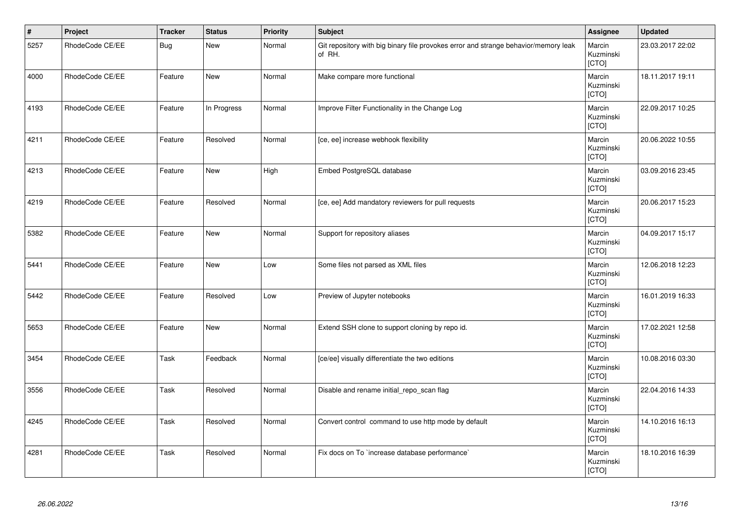| $\vert$ # | Project         | <b>Tracker</b> | <b>Status</b> | <b>Priority</b> | <b>Subject</b>                                                                                | <b>Assignee</b>              | <b>Updated</b>   |
|-----------|-----------------|----------------|---------------|-----------------|-----------------------------------------------------------------------------------------------|------------------------------|------------------|
| 5257      | RhodeCode CE/EE | <b>Bug</b>     | <b>New</b>    | Normal          | Git repository with big binary file provokes error and strange behavior/memory leak<br>of RH. | Marcin<br>Kuzminski<br>[CTO] | 23.03.2017 22:02 |
| 4000      | RhodeCode CE/EE | Feature        | <b>New</b>    | Normal          | Make compare more functional                                                                  | Marcin<br>Kuzminski<br>[CTO] | 18.11.2017 19:11 |
| 4193      | RhodeCode CE/EE | Feature        | In Progress   | Normal          | Improve Filter Functionality in the Change Log                                                | Marcin<br>Kuzminski<br>[CTO] | 22.09.2017 10:25 |
| 4211      | RhodeCode CE/EE | Feature        | Resolved      | Normal          | [ce, ee] increase webhook flexibility                                                         | Marcin<br>Kuzminski<br>[CTO] | 20.06.2022 10:55 |
| 4213      | RhodeCode CE/EE | Feature        | New           | High            | Embed PostgreSQL database                                                                     | Marcin<br>Kuzminski<br>[CTO] | 03.09.2016 23:45 |
| 4219      | RhodeCode CE/EE | Feature        | Resolved      | Normal          | [ce, ee] Add mandatory reviewers for pull requests                                            | Marcin<br>Kuzminski<br>[CTO] | 20.06.2017 15:23 |
| 5382      | RhodeCode CE/EE | Feature        | <b>New</b>    | Normal          | Support for repository aliases                                                                | Marcin<br>Kuzminski<br>[CTO] | 04.09.2017 15:17 |
| 5441      | RhodeCode CE/EE | Feature        | <b>New</b>    | Low             | Some files not parsed as XML files                                                            | Marcin<br>Kuzminski<br>[CTO] | 12.06.2018 12:23 |
| 5442      | RhodeCode CE/EE | Feature        | Resolved      | Low             | Preview of Jupyter notebooks                                                                  | Marcin<br>Kuzminski<br>[CTO] | 16.01.2019 16:33 |
| 5653      | RhodeCode CE/EE | Feature        | <b>New</b>    | Normal          | Extend SSH clone to support cloning by repo id.                                               | Marcin<br>Kuzminski<br>[CTO] | 17.02.2021 12:58 |
| 3454      | RhodeCode CE/EE | Task           | Feedback      | Normal          | [ce/ee] visually differentiate the two editions                                               | Marcin<br>Kuzminski<br>[CTO] | 10.08.2016 03:30 |
| 3556      | RhodeCode CE/EE | Task           | Resolved      | Normal          | Disable and rename initial_repo_scan flag                                                     | Marcin<br>Kuzminski<br>[CTO] | 22.04.2016 14:33 |
| 4245      | RhodeCode CE/EE | Task           | Resolved      | Normal          | Convert control command to use http mode by default                                           | Marcin<br>Kuzminski<br>[CTO] | 14.10.2016 16:13 |
| 4281      | RhodeCode CE/EE | Task           | Resolved      | Normal          | Fix docs on To `increase database performance`                                                | Marcin<br>Kuzminski<br>[CTO] | 18.10.2016 16:39 |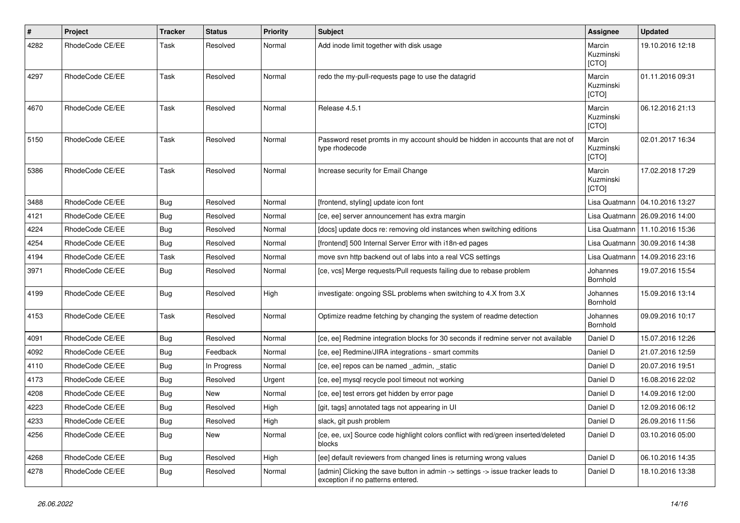| $\sharp$ | Project         | <b>Tracker</b> | <b>Status</b> | <b>Priority</b> | <b>Subject</b>                                                                                                       | <b>Assignee</b>              | <b>Updated</b>                   |
|----------|-----------------|----------------|---------------|-----------------|----------------------------------------------------------------------------------------------------------------------|------------------------------|----------------------------------|
| 4282     | RhodeCode CE/EE | Task           | Resolved      | Normal          | Add inode limit together with disk usage                                                                             | Marcin<br>Kuzminski<br>[CTO] | 19.10.2016 12:18                 |
| 4297     | RhodeCode CE/EE | Task           | Resolved      | Normal          | redo the my-pull-requests page to use the datagrid                                                                   | Marcin<br>Kuzminski<br>[CTO] | 01.11.2016 09:31                 |
| 4670     | RhodeCode CE/EE | Task           | Resolved      | Normal          | Release 4.5.1                                                                                                        | Marcin<br>Kuzminski<br>[CTO] | 06.12.2016 21:13                 |
| 5150     | RhodeCode CE/EE | Task           | Resolved      | Normal          | Password reset promts in my account should be hidden in accounts that are not of<br>type rhodecode                   | Marcin<br>Kuzminski<br>[CTO] | 02.01.2017 16:34                 |
| 5386     | RhodeCode CE/EE | Task           | Resolved      | Normal          | Increase security for Email Change                                                                                   | Marcin<br>Kuzminski<br>[CTO] | 17.02.2018 17:29                 |
| 3488     | RhodeCode CE/EE | Bug            | Resolved      | Normal          | [frontend, styling] update icon font                                                                                 |                              | Lisa Quatmann   04.10.2016 13:27 |
| 4121     | RhodeCode CE/EE | <b>Bug</b>     | Resolved      | Normal          | [ce, ee] server announcement has extra margin                                                                        |                              | Lisa Quatmann   26.09.2016 14:00 |
| 4224     | RhodeCode CE/EE | Bug            | Resolved      | Normal          | [docs] update docs re: removing old instances when switching editions                                                |                              | Lisa Quatmann   11.10.2016 15:36 |
| 4254     | RhodeCode CE/EE | Bug            | Resolved      | Normal          | [frontend] 500 Internal Server Error with i18n-ed pages                                                              | Lisa Quatmann                | 30.09.2016 14:38                 |
| 4194     | RhodeCode CE/EE | Task           | Resolved      | Normal          | move svn http backend out of labs into a real VCS settings                                                           | Lisa Quatmann                | 14.09.2016 23:16                 |
| 3971     | RhodeCode CE/EE | Bug            | Resolved      | Normal          | [ce, vcs] Merge requests/Pull requests failing due to rebase problem                                                 | Johannes<br>Bornhold         | 19.07.2016 15:54                 |
| 4199     | RhodeCode CE/EE | Bug            | Resolved      | High            | investigate: ongoing SSL problems when switching to 4.X from 3.X                                                     | Johannes<br>Bornhold         | 15.09.2016 13:14                 |
| 4153     | RhodeCode CE/EE | Task           | Resolved      | Normal          | Optimize readme fetching by changing the system of readme detection                                                  | Johannes<br>Bornhold         | 09.09.2016 10:17                 |
| 4091     | RhodeCode CE/EE | Bug            | Resolved      | Normal          | [ce, ee] Redmine integration blocks for 30 seconds if redmine server not available                                   | Daniel D                     | 15.07.2016 12:26                 |
| 4092     | RhodeCode CE/EE | <b>Bug</b>     | Feedback      | Normal          | [ce, ee] Redmine/JIRA integrations - smart commits                                                                   | Daniel D                     | 21.07.2016 12:59                 |
| 4110     | RhodeCode CE/EE | Bug            | In Progress   | Normal          | [ce, ee] repos can be named _admin, _static                                                                          | Daniel D                     | 20.07.2016 19:51                 |
| 4173     | RhodeCode CE/EE | Bug            | Resolved      | Urgent          | [ce, ee] mysql recycle pool timeout not working                                                                      | Daniel D                     | 16.08.2016 22:02                 |
| 4208     | RhodeCode CE/EE | Bug            | New           | Normal          | [ce, ee] test errors get hidden by error page                                                                        | Daniel D                     | 14.09.2016 12:00                 |
| 4223     | RhodeCode CE/EE | <b>Bug</b>     | Resolved      | High            | [git, tags] annotated tags not appearing in UI                                                                       | Daniel D                     | 12.09.2016 06:12                 |
| 4233     | RhodeCode CE/EE | Bug            | Resolved      | High            | slack, git push problem                                                                                              | Daniel D                     | 26.09.2016 11:56                 |
| 4256     | RhodeCode CE/EE | Bug            | New           | Normal          | [ce, ee, ux] Source code highlight colors conflict with red/green inserted/deleted<br>blocks                         | Daniel D                     | 03.10.2016 05:00                 |
| 4268     | RhodeCode CE/EE | <b>Bug</b>     | Resolved      | High            | [ee] default reviewers from changed lines is returning wrong values                                                  | Daniel D                     | 06.10.2016 14:35                 |
| 4278     | RhodeCode CE/EE | <b>Bug</b>     | Resolved      | Normal          | [admin] Clicking the save button in admin -> settings -> issue tracker leads to<br>exception if no patterns entered. | Daniel D                     | 18.10.2016 13:38                 |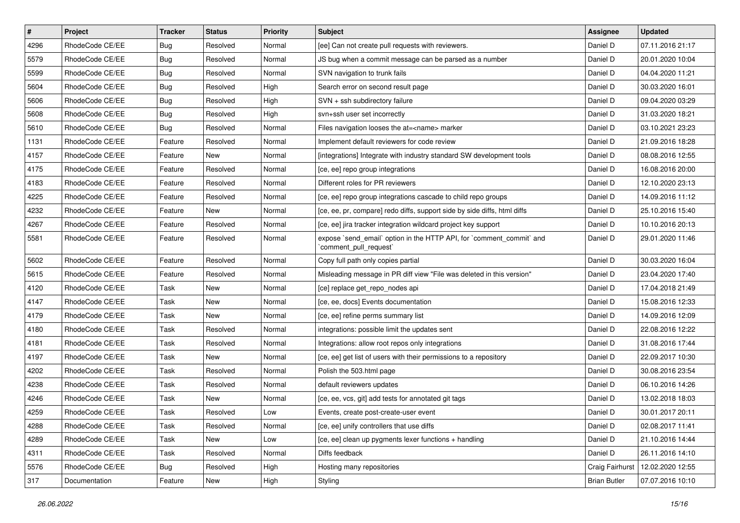| $\vert$ # | Project         | <b>Tracker</b> | <b>Status</b> | <b>Priority</b> | <b>Subject</b>                                                                                 | <b>Assignee</b>     | <b>Updated</b>   |
|-----------|-----------------|----------------|---------------|-----------------|------------------------------------------------------------------------------------------------|---------------------|------------------|
| 4296      | RhodeCode CE/EE | <b>Bug</b>     | Resolved      | Normal          | [ee] Can not create pull requests with reviewers.                                              | Daniel D            | 07.11.2016 21:17 |
| 5579      | RhodeCode CE/EE | <b>Bug</b>     | Resolved      | Normal          | JS bug when a commit message can be parsed as a number                                         | Daniel D            | 20.01.2020 10:04 |
| 5599      | RhodeCode CE/EE | Bug            | Resolved      | Normal          | SVN navigation to trunk fails                                                                  | Daniel D            | 04.04.2020 11:21 |
| 5604      | RhodeCode CE/EE | <b>Bug</b>     | Resolved      | High            | Search error on second result page                                                             | Daniel D            | 30.03.2020 16:01 |
| 5606      | RhodeCode CE/EE | Bug            | Resolved      | High            | SVN + ssh subdirectory failure                                                                 | Daniel D            | 09.04.2020 03:29 |
| 5608      | RhodeCode CE/EE | <b>Bug</b>     | Resolved      | High            | svn+ssh user set incorrectly                                                                   | Daniel D            | 31.03.2020 18:21 |
| 5610      | RhodeCode CE/EE | Bug            | Resolved      | Normal          | Files navigation looses the at= <name> marker</name>                                           | Daniel D            | 03.10.2021 23:23 |
| 1131      | RhodeCode CE/EE | Feature        | Resolved      | Normal          | Implement default reviewers for code review                                                    | Daniel D            | 21.09.2016 18:28 |
| 4157      | RhodeCode CE/EE | Feature        | New           | Normal          | [integrations] Integrate with industry standard SW development tools                           | Daniel D            | 08.08.2016 12:55 |
| 4175      | RhodeCode CE/EE | Feature        | Resolved      | Normal          | [ce, ee] repo group integrations                                                               | Daniel D            | 16.08.2016 20:00 |
| 4183      | RhodeCode CE/EE | Feature        | Resolved      | Normal          | Different roles for PR reviewers                                                               | Daniel D            | 12.10.2020 23:13 |
| 4225      | RhodeCode CE/EE | Feature        | Resolved      | Normal          | [ce, ee] repo group integrations cascade to child repo groups                                  | Daniel D            | 14.09.2016 11:12 |
| 4232      | RhodeCode CE/EE | Feature        | New           | Normal          | [ce, ee, pr, compare] redo diffs, support side by side diffs, html diffs                       | Daniel D            | 25.10.2016 15:40 |
| 4267      | RhodeCode CE/EE | Feature        | Resolved      | Normal          | [ce, ee] jira tracker integration wildcard project key support                                 | Daniel D            | 10.10.2016 20:13 |
| 5581      | RhodeCode CE/EE | Feature        | Resolved      | Normal          | expose `send_email` option in the HTTP API, for `comment_commit` and<br>`comment_pull_request` | Daniel D            | 29.01.2020 11:46 |
| 5602      | RhodeCode CE/EE | Feature        | Resolved      | Normal          | Copy full path only copies partial                                                             | Daniel D            | 30.03.2020 16:04 |
| 5615      | RhodeCode CE/EE | Feature        | Resolved      | Normal          | Misleading message in PR diff view "File was deleted in this version"                          | Daniel D            | 23.04.2020 17:40 |
| 4120      | RhodeCode CE/EE | Task           | New           | Normal          | [ce] replace get_repo_nodes api                                                                | Daniel D            | 17.04.2018 21:49 |
| 4147      | RhodeCode CE/EE | Task           | New           | Normal          | [ce, ee, docs] Events documentation                                                            | Daniel D            | 15.08.2016 12:33 |
| 4179      | RhodeCode CE/EE | Task           | <b>New</b>    | Normal          | [ce, ee] refine perms summary list                                                             | Daniel D            | 14.09.2016 12:09 |
| 4180      | RhodeCode CE/EE | Task           | Resolved      | Normal          | integrations: possible limit the updates sent                                                  | Daniel D            | 22.08.2016 12:22 |
| 4181      | RhodeCode CE/EE | Task           | Resolved      | Normal          | Integrations: allow root repos only integrations                                               | Daniel D            | 31.08.2016 17:44 |
| 4197      | RhodeCode CE/EE | Task           | New           | Normal          | [ce, ee] get list of users with their permissions to a repository                              | Daniel D            | 22.09.2017 10:30 |
| 4202      | RhodeCode CE/EE | Task           | Resolved      | Normal          | Polish the 503.html page                                                                       | Daniel D            | 30.08.2016 23:54 |
| 4238      | RhodeCode CE/EE | Task           | Resolved      | Normal          | default reviewers updates                                                                      | Daniel D            | 06.10.2016 14:26 |
| 4246      | RhodeCode CE/EE | Task           | New           | Normal          | [ce, ee, vcs, git] add tests for annotated git tags                                            | Daniel D            | 13.02.2018 18:03 |
| 4259      | RhodeCode CE/EE | Task           | Resolved      | Low             | Events, create post-create-user event                                                          | Daniel D            | 30.01.2017 20:11 |
| 4288      | RhodeCode CE/EE | Task           | Resolved      | Normal          | [ce, ee] unify controllers that use diffs                                                      | Daniel D            | 02.08.2017 11:41 |
| 4289      | RhodeCode CE/EE | Task           | New           | Low             | [ce, ee] clean up pygments lexer functions + handling                                          | Daniel D            | 21.10.2016 14:44 |
| 4311      | RhodeCode CE/EE | Task           | Resolved      | Normal          | Diffs feedback                                                                                 | Daniel D            | 26.11.2016 14:10 |
| 5576      | RhodeCode CE/EE | <b>Bug</b>     | Resolved      | High            | Hosting many repositories                                                                      | Craig Fairhurst     | 12.02.2020 12:55 |
| 317       | Documentation   | Feature        | New           | High            | Styling                                                                                        | <b>Brian Butler</b> | 07.07.2016 10:10 |